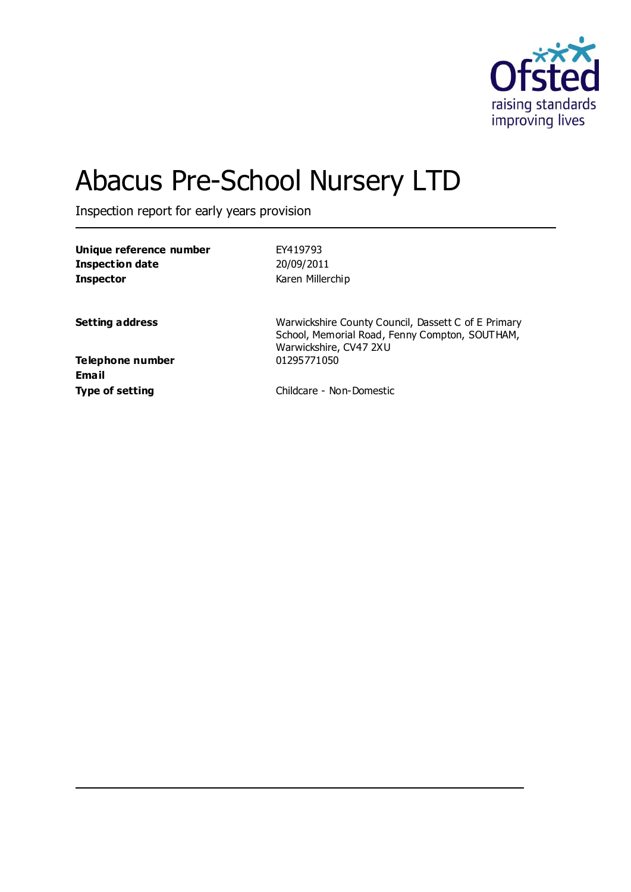

# Abacus Pre-School Nursery LTD

Inspection report for early years provision

| Unique reference number<br><b>Inspection date</b><br><b>Inspector</b> | FY419793<br>20/09/2011<br>Karen Millerchip                                                                                      |
|-----------------------------------------------------------------------|---------------------------------------------------------------------------------------------------------------------------------|
|                                                                       |                                                                                                                                 |
| <b>Setting address</b>                                                | Warwickshire County Council, Dassett C of E Primary<br>School, Memorial Road, Fenny Compton, SOUTHAM,<br>Warwickshire, CV47 2XU |
| Telephone number<br>Email                                             | 01295771050                                                                                                                     |
| <b>Type of setting</b>                                                | Childcare - Non-Domestic                                                                                                        |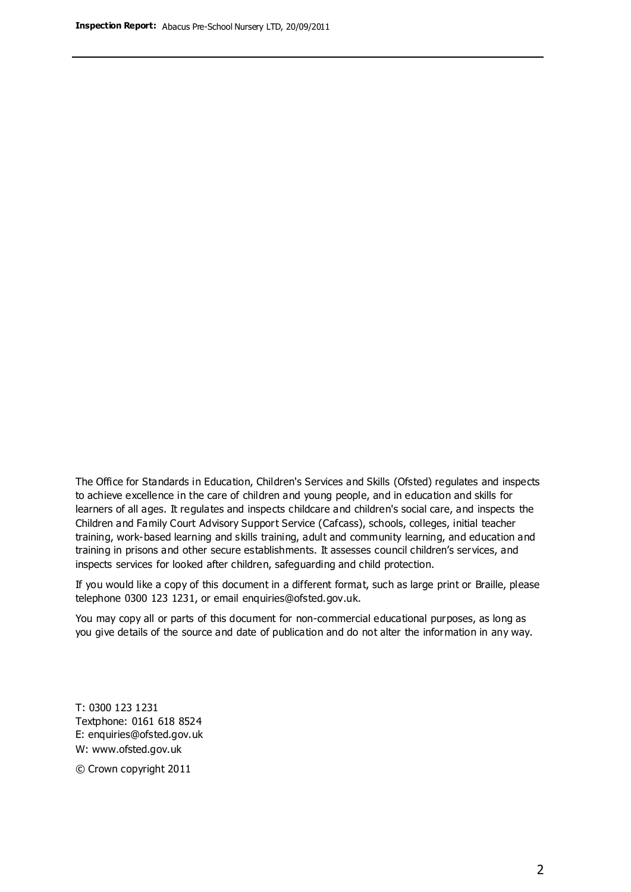The Office for Standards in Education, Children's Services and Skills (Ofsted) regulates and inspects to achieve excellence in the care of children and young people, and in education and skills for learners of all ages. It regulates and inspects childcare and children's social care, and inspects the Children and Family Court Advisory Support Service (Cafcass), schools, colleges, initial teacher training, work-based learning and skills training, adult and community learning, and education and training in prisons and other secure establishments. It assesses council children's services, and inspects services for looked after children, safeguarding and child protection.

If you would like a copy of this document in a different format, such as large print or Braille, please telephone 0300 123 1231, or email enquiries@ofsted.gov.uk.

You may copy all or parts of this document for non-commercial educational purposes, as long as you give details of the source and date of publication and do not alter the information in any way.

T: 0300 123 1231 Textphone: 0161 618 8524 E: enquiries@ofsted.gov.uk W: [www.ofsted.gov.uk](http://www.ofsted.gov.uk/)

© Crown copyright 2011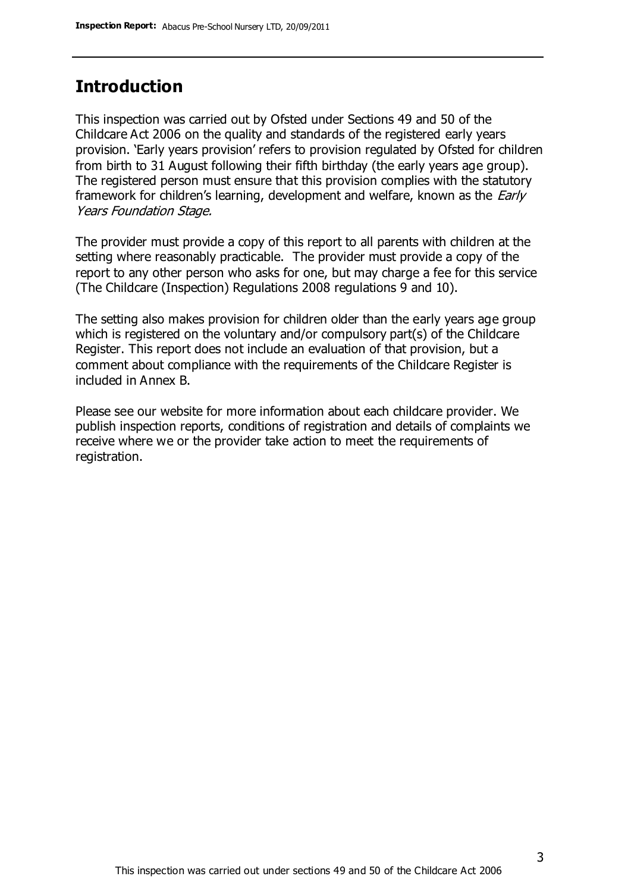### **Introduction**

This inspection was carried out by Ofsted under Sections 49 and 50 of the Childcare Act 2006 on the quality and standards of the registered early years provision. 'Early years provision' refers to provision regulated by Ofsted for children from birth to 31 August following their fifth birthday (the early years age group). The registered person must ensure that this provision complies with the statutory framework for children's learning, development and welfare, known as the *Early* Years Foundation Stage.

The provider must provide a copy of this report to all parents with children at the setting where reasonably practicable. The provider must provide a copy of the report to any other person who asks for one, but may charge a fee for this service (The Childcare (Inspection) Regulations 2008 regulations 9 and 10).

The setting also makes provision for children older than the early years age group which is registered on the voluntary and/or compulsory part(s) of the Childcare Register. This report does not include an evaluation of that provision, but a comment about compliance with the requirements of the Childcare Register is included in Annex B.

Please see our website for more information about each childcare provider. We publish inspection reports, conditions of registration and details of complaints we receive where we or the provider take action to meet the requirements of registration.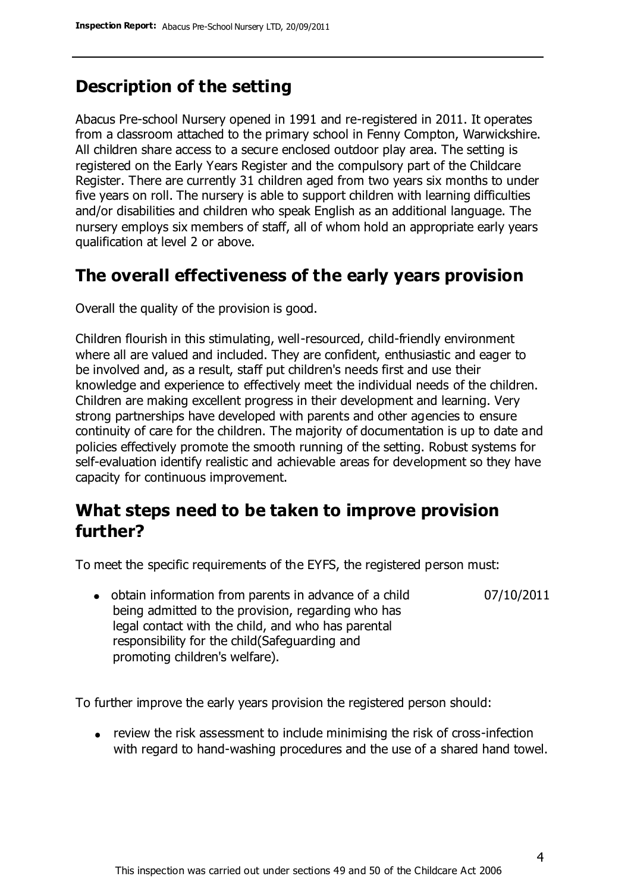### **Description of the setting**

Abacus Pre-school Nursery opened in 1991 and re-registered in 2011. It operates from a classroom attached to the primary school in Fenny Compton, Warwickshire. All children share access to a secure enclosed outdoor play area. The setting is registered on the Early Years Register and the compulsory part of the Childcare Register. There are currently 31 children aged from two years six months to under five years on roll. The nursery is able to support children with learning difficulties and/or disabilities and children who speak English as an additional language. The nursery employs six members of staff, all of whom hold an appropriate early years qualification at level 2 or above.

### **The overall effectiveness of the early years provision**

Overall the quality of the provision is good.

Children flourish in this stimulating, well-resourced, child-friendly environment where all are valued and included. They are confident, enthusiastic and eager to be involved and, as a result, staff put children's needs first and use their knowledge and experience to effectively meet the individual needs of the children. Children are making excellent progress in their development and learning. Very strong partnerships have developed with parents and other agencies to ensure continuity of care for the children. The majority of documentation is up to date and policies effectively promote the smooth running of the setting. Robust systems for self-evaluation identify realistic and achievable areas for development so they have capacity for continuous improvement.

# **What steps need to be taken to improve provision further?**

To meet the specific requirements of the EYFS, the registered person must:

07/10/2011

• obtain information from parents in advance of a child being admitted to the provision, regarding who has legal contact with the child, and who has parental responsibility for the child(Safeguarding and promoting children's welfare).

To further improve the early years provision the registered person should:

review the risk assessment to include minimising the risk of cross-infection with regard to hand-washing procedures and the use of a shared hand towel.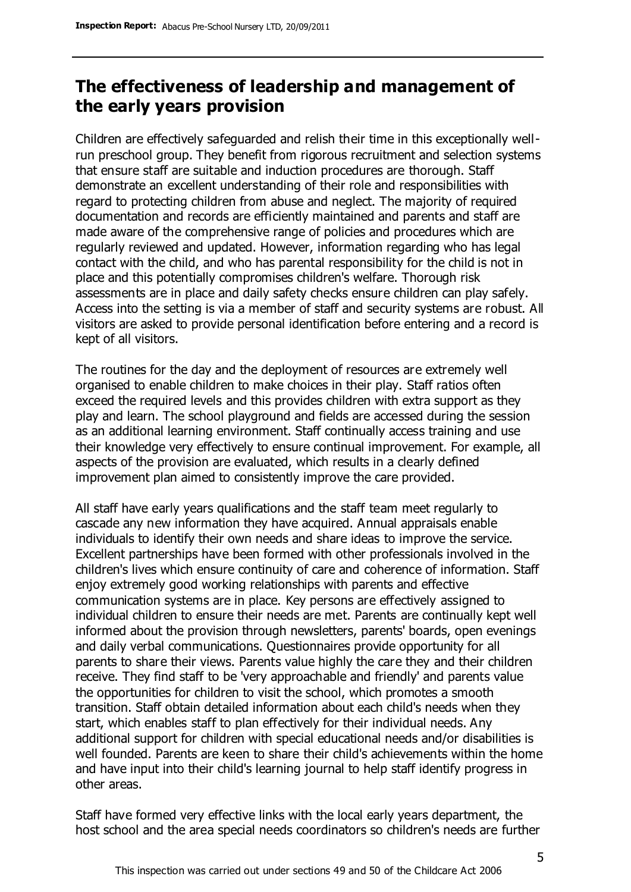# **The effectiveness of leadership and management of the early years provision**

Children are effectively safeguarded and relish their time in this exceptionally wellrun preschool group. They benefit from rigorous recruitment and selection systems that ensure staff are suitable and induction procedures are thorough. Staff demonstrate an excellent understanding of their role and responsibilities with regard to protecting children from abuse and neglect. The majority of required documentation and records are efficiently maintained and parents and staff are made aware of the comprehensive range of policies and procedures which are regularly reviewed and updated. However, information regarding who has legal contact with the child, and who has parental responsibility for the child is not in place and this potentially compromises children's welfare. Thorough risk assessments are in place and daily safety checks ensure children can play safely. Access into the setting is via a member of staff and security systems are robust. All visitors are asked to provide personal identification before entering and a record is kept of all visitors.

The routines for the day and the deployment of resources are extremely well organised to enable children to make choices in their play. Staff ratios often exceed the required levels and this provides children with extra support as they play and learn. The school playground and fields are accessed during the session as an additional learning environment. Staff continually access training and use their knowledge very effectively to ensure continual improvement. For example, all aspects of the provision are evaluated, which results in a clearly defined improvement plan aimed to consistently improve the care provided.

All staff have early years qualifications and the staff team meet regularly to cascade any new information they have acquired. Annual appraisals enable individuals to identify their own needs and share ideas to improve the service. Excellent partnerships have been formed with other professionals involved in the children's lives which ensure continuity of care and coherence of information. Staff enjoy extremely good working relationships with parents and effective communication systems are in place. Key persons are effectively assigned to individual children to ensure their needs are met. Parents are continually kept well informed about the provision through newsletters, parents' boards, open evenings and daily verbal communications. Questionnaires provide opportunity for all parents to share their views. Parents value highly the care they and their children receive. They find staff to be 'very approachable and friendly' and parents value the opportunities for children to visit the school, which promotes a smooth transition. Staff obtain detailed information about each child's needs when they start, which enables staff to plan effectively for their individual needs. Any additional support for children with special educational needs and/or disabilities is well founded. Parents are keen to share their child's achievements within the home and have input into their child's learning journal to help staff identify progress in other areas.

Staff have formed very effective links with the local early years department, the host school and the area special needs coordinators so children's needs are further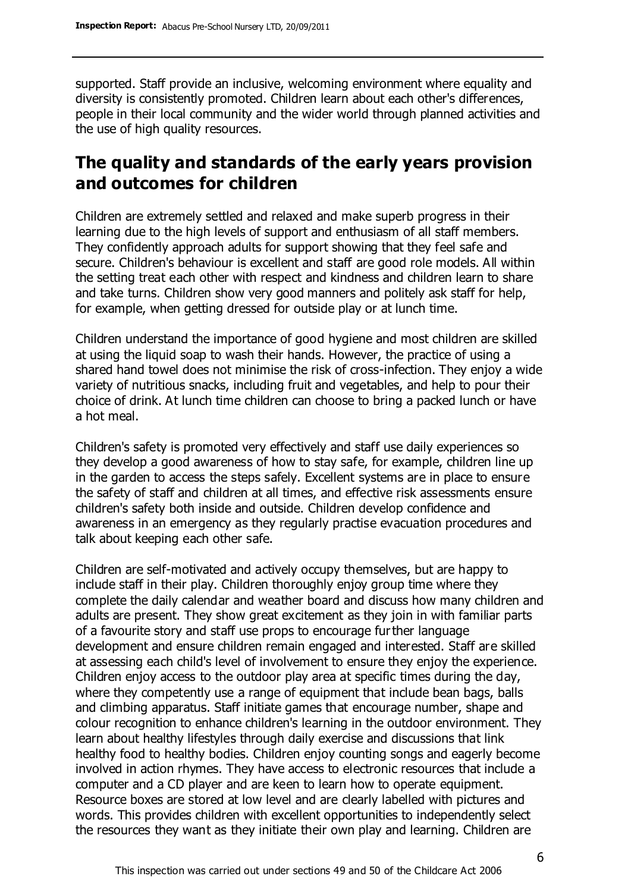supported. Staff provide an inclusive, welcoming environment where equality and diversity is consistently promoted. Children learn about each other's differences, people in their local community and the wider world through planned activities and the use of high quality resources.

# **The quality and standards of the early years provision and outcomes for children**

Children are extremely settled and relaxed and make superb progress in their learning due to the high levels of support and enthusiasm of all staff members. They confidently approach adults for support showing that they feel safe and secure. Children's behaviour is excellent and staff are good role models. All within the setting treat each other with respect and kindness and children learn to share and take turns. Children show very good manners and politely ask staff for help, for example, when getting dressed for outside play or at lunch time.

Children understand the importance of good hygiene and most children are skilled at using the liquid soap to wash their hands. However, the practice of using a shared hand towel does not minimise the risk of cross-infection. They enjoy a wide variety of nutritious snacks, including fruit and vegetables, and help to pour their choice of drink. At lunch time children can choose to bring a packed lunch or have a hot meal.

Children's safety is promoted very effectively and staff use daily experiences so they develop a good awareness of how to stay safe, for example, children line up in the garden to access the steps safely. Excellent systems are in place to ensure the safety of staff and children at all times, and effective risk assessments ensure children's safety both inside and outside. Children develop confidence and awareness in an emergency as they regularly practise evacuation procedures and talk about keeping each other safe.

Children are self-motivated and actively occupy themselves, but are happy to include staff in their play. Children thoroughly enjoy group time where they complete the daily calendar and weather board and discuss how many children and adults are present. They show great excitement as they join in with familiar parts of a favourite story and staff use props to encourage further language development and ensure children remain engaged and interested. Staff are skilled at assessing each child's level of involvement to ensure they enjoy the experience. Children enjoy access to the outdoor play area at specific times during the day, where they competently use a range of equipment that include bean bags, balls and climbing apparatus. Staff initiate games that encourage number, shape and colour recognition to enhance children's learning in the outdoor environment. They learn about healthy lifestyles through daily exercise and discussions that link healthy food to healthy bodies. Children enjoy counting songs and eagerly become involved in action rhymes. They have access to electronic resources that include a computer and a CD player and are keen to learn how to operate equipment. Resource boxes are stored at low level and are clearly labelled with pictures and words. This provides children with excellent opportunities to independently select the resources they want as they initiate their own play and learning. Children are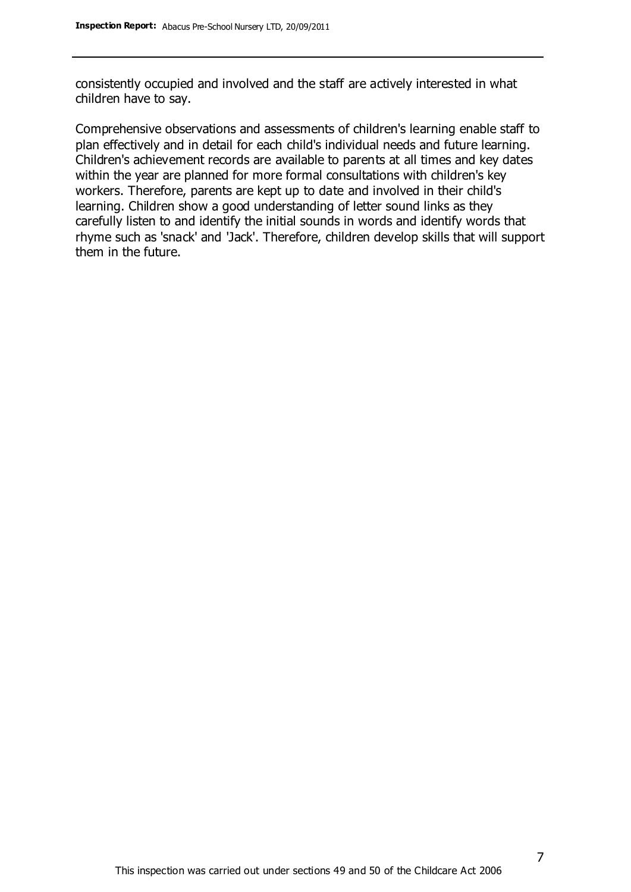consistently occupied and involved and the staff are actively interested in what children have to say.

Comprehensive observations and assessments of children's learning enable staff to plan effectively and in detail for each child's individual needs and future learning. Children's achievement records are available to parents at all times and key dates within the year are planned for more formal consultations with children's key workers. Therefore, parents are kept up to date and involved in their child's learning. Children show a good understanding of letter sound links as they carefully listen to and identify the initial sounds in words and identify words that rhyme such as 'snack' and 'Jack'. Therefore, children develop skills that will support them in the future.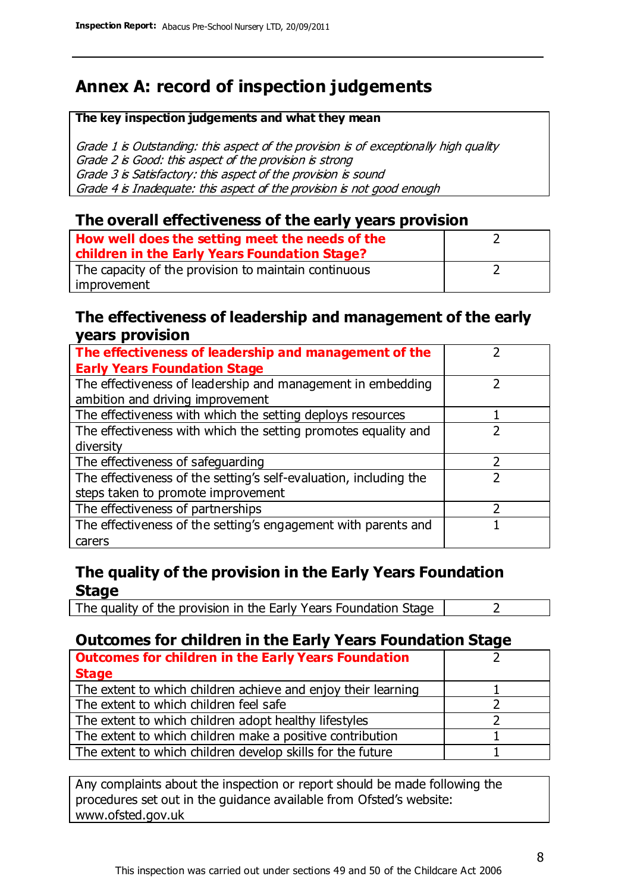# **Annex A: record of inspection judgements**

#### **The key inspection judgements and what they mean**

Grade 1 is Outstanding: this aspect of the provision is of exceptionally high quality Grade 2 is Good: this aspect of the provision is strong Grade 3 is Satisfactory: this aspect of the provision is sound Grade 4 is Inadequate: this aspect of the provision is not good enough

### **The overall effectiveness of the early years provision**

| How well does the setting meet the needs of the<br>children in the Early Years Foundation Stage? |  |
|--------------------------------------------------------------------------------------------------|--|
| The capacity of the provision to maintain continuous                                             |  |
| improvement                                                                                      |  |

### **The effectiveness of leadership and management of the early years provision**

| The effectiveness of leadership and management of the             |  |
|-------------------------------------------------------------------|--|
| <b>Early Years Foundation Stage</b>                               |  |
| The effectiveness of leadership and management in embedding       |  |
| ambition and driving improvement                                  |  |
| The effectiveness with which the setting deploys resources        |  |
| The effectiveness with which the setting promotes equality and    |  |
| diversity                                                         |  |
| The effectiveness of safeguarding                                 |  |
| The effectiveness of the setting's self-evaluation, including the |  |
| steps taken to promote improvement                                |  |
| The effectiveness of partnerships                                 |  |
| The effectiveness of the setting's engagement with parents and    |  |
| carers                                                            |  |

### **The quality of the provision in the Early Years Foundation Stage**

The quality of the provision in the Early Years Foundation Stage  $\vert$  2

### **Outcomes for children in the Early Years Foundation Stage**

| <b>Outcomes for children in the Early Years Foundation</b>    |  |
|---------------------------------------------------------------|--|
| <b>Stage</b>                                                  |  |
| The extent to which children achieve and enjoy their learning |  |
| The extent to which children feel safe                        |  |
| The extent to which children adopt healthy lifestyles         |  |
| The extent to which children make a positive contribution     |  |
| The extent to which children develop skills for the future    |  |

Any complaints about the inspection or report should be made following the procedures set out in the guidance available from Ofsted's website: www.ofsted.gov.uk